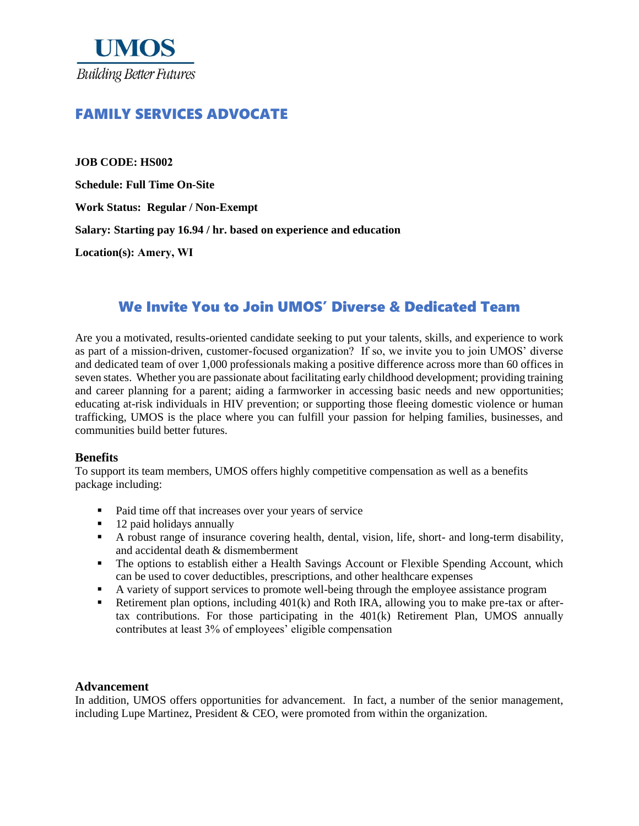

# FAMILY SERVICES ADVOCATE

**JOB CODE: HS002 Schedule: Full Time On-Site Work Status: Regular / Non-Exempt Salary: Starting pay 16.94 / hr. based on experience and education Location(s): Amery, WI**

# We Invite You to Join UMOS' Diverse & Dedicated Team

Are you a motivated, results-oriented candidate seeking to put your talents, skills, and experience to work as part of a mission-driven, customer-focused organization? If so, we invite you to join UMOS' diverse and dedicated team of over 1,000 professionals making a positive difference across more than 60 offices in seven states. Whether you are passionate about facilitating early childhood development; providing training and career planning for a parent; aiding a farmworker in accessing basic needs and new opportunities; educating at-risk individuals in HIV prevention; or supporting those fleeing domestic violence or human trafficking, UMOS is the place where you can fulfill your passion for helping families, businesses, and communities build better futures.

# **Benefits**

To support its team members, UMOS offers highly competitive compensation as well as a benefits package including:

- Paid time off that increases over your years of service
- 
- 12 paid holidays annually<br>■ A robust range of insuran ▪ A robust range of insurance covering health, dental, vision, life, short- and long-term disability, and accidental death & dismemberment
- **•** The options to establish either a Health Savings Account or Flexible Spending Account, which can be used to cover deductibles, prescriptions, and other healthcare expenses
- A variety of support services to promote well-being through the employee assistance program
- Retirement plan options, including  $401(k)$  and Roth IRA, allowing you to make pre-tax or aftertax contributions. For those participating in the 401(k) Retirement Plan, UMOS annually contributes at least 3% of employees' eligible compensation

#### **Advancement**

In addition, UMOS offers opportunities for advancement. In fact, a number of the senior management, including Lupe Martinez, President  $&$  CEO, were promoted from within the organization.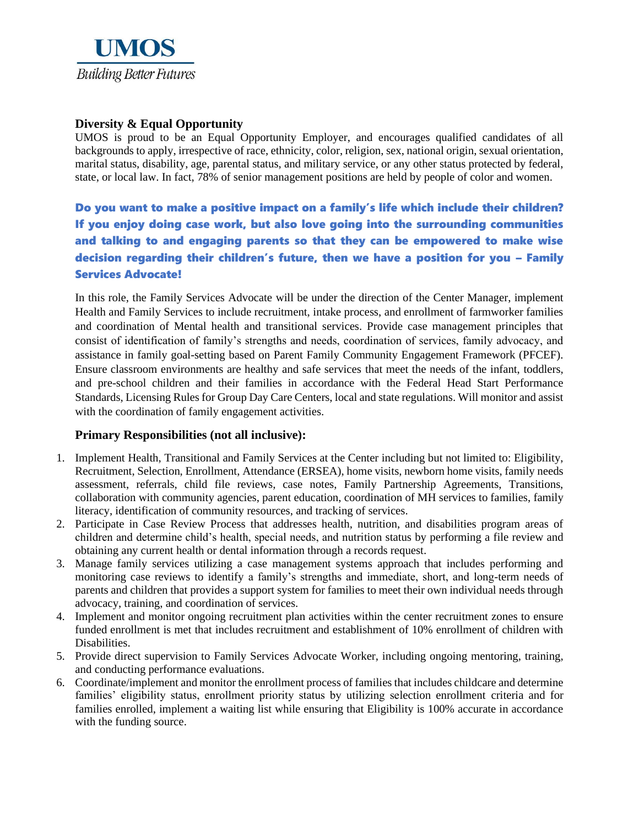

# **Diversity & Equal Opportunity**

UMOS is proud to be an Equal Opportunity Employer, and encourages qualified candidates of all backgrounds to apply, irrespective of race, ethnicity, color, religion, sex, national origin, sexual orientation, marital status, disability, age, parental status, and military service, or any other status protected by federal, state, or local law. In fact, 78% of senior management positions are held by people of color and women.

Do you want to make a positive impact on a family's life which include their children? If you enjoy doing case work, but also love going into the surrounding communities and talking to and engaging parents so that they can be empowered to make wise decision regarding their children's future, then we have a position for you – Family Services Advocate!

In this role, the Family Services Advocate will be under the direction of the Center Manager, implement Health and Family Services to include recruitment, intake process, and enrollment of farmworker families and coordination of Mental health and transitional services. Provide case management principles that consist of identification of family's strengths and needs, coordination of services, family advocacy, and assistance in family goal-setting based on Parent Family Community Engagement Framework (PFCEF). Ensure classroom environments are healthy and safe services that meet the needs of the infant, toddlers, and pre-school children and their families in accordance with the Federal Head Start Performance Standards, Licensing Rules for Group Day Care Centers, local and state regulations. Will monitor and assist with the coordination of family engagement activities.

# **Primary Responsibilities (not all inclusive):**

- 1. Implement Health, Transitional and Family Services at the Center including but not limited to: Eligibility, Recruitment, Selection, Enrollment, Attendance (ERSEA), home visits, newborn home visits, family needs assessment, referrals, child file reviews, case notes, Family Partnership Agreements, Transitions, collaboration with community agencies, parent education, coordination of MH services to families, family literacy, identification of community resources, and tracking of services.
- 2. Participate in Case Review Process that addresses health, nutrition, and disabilities program areas of children and determine child's health, special needs, and nutrition status by performing a file review and obtaining any current health or dental information through a records request.
- 3. Manage family services utilizing a case management systems approach that includes performing and monitoring case reviews to identify a family's strengths and immediate, short, and long-term needs of parents and children that provides a support system for families to meet their own individual needs through advocacy, training, and coordination of services.
- 4. Implement and monitor ongoing recruitment plan activities within the center recruitment zones to ensure funded enrollment is met that includes recruitment and establishment of 10% enrollment of children with Disabilities.
- 5. Provide direct supervision to Family Services Advocate Worker, including ongoing mentoring, training, and conducting performance evaluations.
- 6. Coordinate/implement and monitor the enrollment process of families that includes childcare and determine families' eligibility status, enrollment priority status by utilizing selection enrollment criteria and for families enrolled, implement a waiting list while ensuring that Eligibility is 100% accurate in accordance with the funding source.